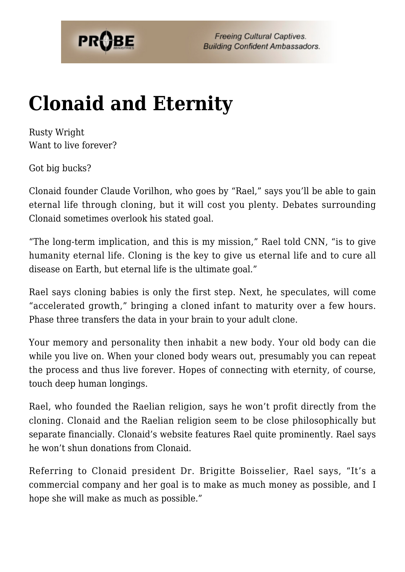

## **[Clonaid and Eternity](https://probe.org/clonaid-and-eternity/)**

Rusty Wright Want to live forever?

Got big bucks?

Clonaid founder Claude Vorilhon, who goes by "Rael," says you'll be able to gain eternal life through cloning, but it will cost you plenty. Debates surrounding Clonaid sometimes overlook his stated goal.

"The long-term implication, and this is my mission," Rael told CNN, "is to give humanity eternal life. Cloning is the key to give us eternal life and to cure all disease on Earth, but eternal life is the ultimate goal."

Rael says cloning babies is only the first step. Next, he speculates, will come "accelerated growth," bringing a cloned infant to maturity over a few hours. Phase three transfers the data in your brain to your adult clone.

Your memory and personality then inhabit a new body. Your old body can die while you live on. When your cloned body wears out, presumably you can repeat the process and thus live forever. Hopes of connecting with eternity, of course, touch deep human longings.

Rael, who founded the Raelian religion, says he won't profit directly from the cloning. Clonaid and the Raelian religion seem to be close philosophically but separate financially. Clonaid's website features Rael quite prominently. Rael says he won't shun donations from Clonaid.

Referring to Clonaid president Dr. Brigitte Boisselier, Rael says, "It's a commercial company and her goal is to make as much money as possible, and I hope she will make as much as possible."